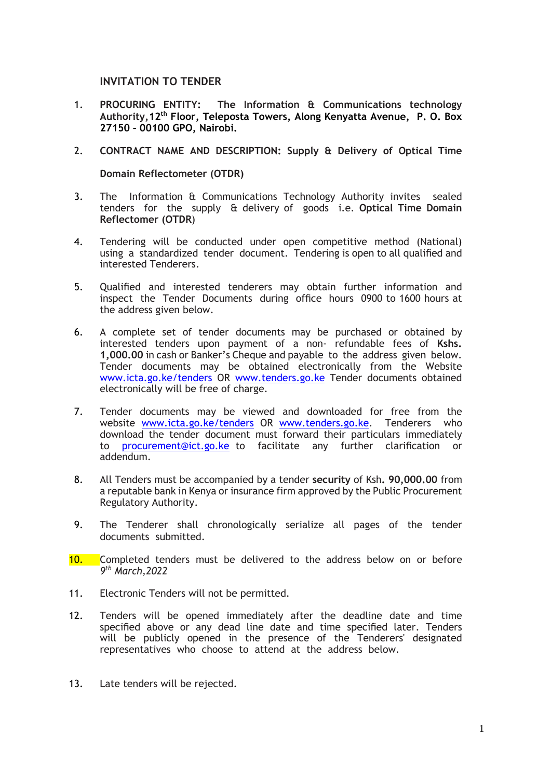## **INVITATION TO TENDER**

- 1. **PROCURING ENTITY: The Information & Communications technology Authority,12th Floor, Teleposta Towers, Along Kenyatta Avenue, P. O. Box 27150 – 00100 GPO, Nairobi.**
- 2. **CONTRACT NAME AND DESCRIPTION: Supply & Delivery of Optical Time**

**Domain Reflectometer (OTDR)**

- 3. The Information & Communications Technology Authority invites sealed tenders for the supply & delivery of goods i.e. **Optical Time Domain Reflectomer (OTDR**)
- 4. Tendering will be conducted under open competitive method (National) using a standardized tender document. Tendering is open to all qualified and interested Tenderers.
- 5. Qualified and interested tenderers may obtain further information and inspect the Tender Documents during office hours 0900 to 1600 hours at the address given below.
- 6. A complete set of tender documents may be purchased or obtained by interested tenders upon payment of a non- refundable fees of **Kshs. 1,000.00** in cash or Banker's Cheque and payable to the address given below. Tender documents may be obtained electronically from the Website [www.icta.go.ke/tenders](http://www.icta.go.ke/tenders) OR [www.tenders.go.ke](http://www.tenders.go.ke/) Tender documents obtained electronically will be free of charge.
- 7. Tender documents may be viewed and downloaded for free from the website [www.icta.go.ke/tenders](http://www.icta.go.ke/tenders) OR [www.tenders.go.ke.](http://www.tenders.go.ke/) Tenderers who download the tender document must forward their particulars immediately to [procurement@ict.go.ke](mailto:procurement@ict.go.ke) to facilitate any further clarification or addendum.
- 8. All Tenders must be accompanied by a tender **security** of Ksh**. 90,000.00** from a reputable bank in Kenya or insurance firm approved by the Public Procurement Regulatory Authority.
- 9. The Tenderer shall chronologically serialize all pages of the tender documents submitted.
- 10. Completed tenders must be delivered to the address below on or before *9 th March,2022*
- 11. Electronic Tenders will not be permitted.
- 12. Tenders will be opened immediately after the deadline date and time specified above or any dead line date and time specified later. Tenders will be publicly opened in the presence of the Tenderers' designated representatives who choose to attend at the address below.
- 13. Late tenders will be rejected.